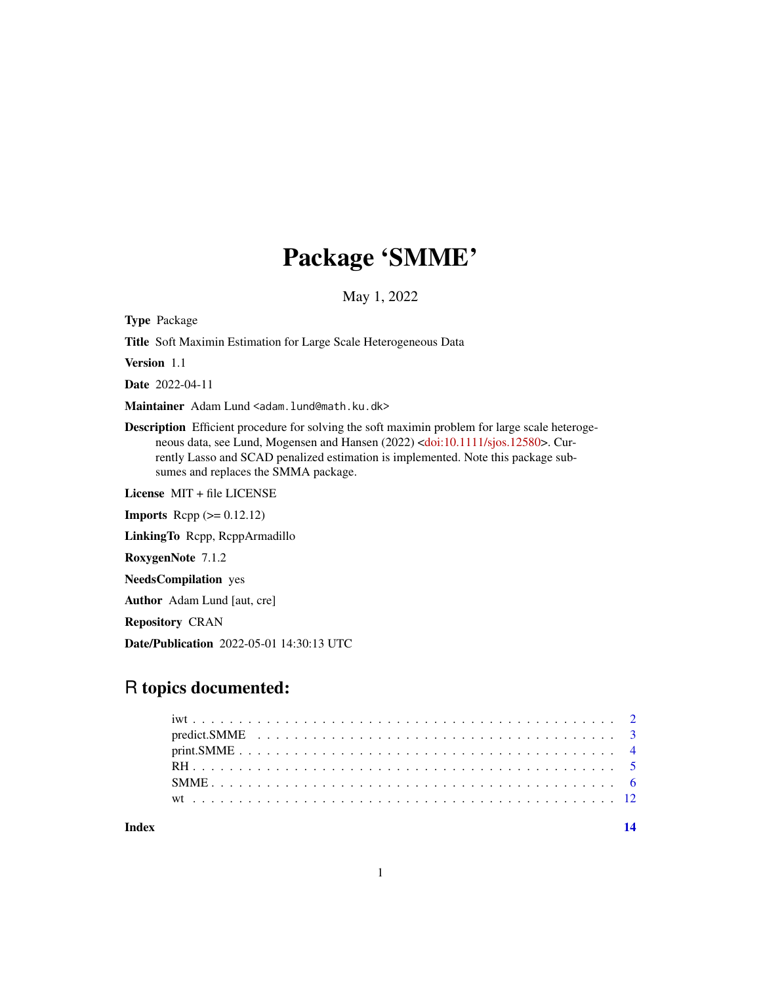# Package 'SMME'

May 1, 2022

Type Package

Title Soft Maximin Estimation for Large Scale Heterogeneous Data

Version 1.1

Date 2022-04-11

Maintainer Adam Lund <adam.lund@math.ku.dk>

Description Efficient procedure for solving the soft maximin problem for large scale heterogeneous data, see Lund, Mogensen and Hansen (2022) [<doi:10.1111/sjos.12580>](https://doi.org/10.1111/sjos.12580). Currently Lasso and SCAD penalized estimation is implemented. Note this package subsumes and replaces the SMMA package.

License MIT + file LICENSE

**Imports** Rcpp  $(>= 0.12.12)$ 

LinkingTo Rcpp, RcppArmadillo

RoxygenNote 7.1.2

NeedsCompilation yes

Author Adam Lund [aut, cre]

Repository CRAN

Date/Publication 2022-05-01 14:30:13 UTC

## R topics documented:

| Index |  |  |  |  |  |  |  |  |  |  |  |  |  |  |  |  |
|-------|--|--|--|--|--|--|--|--|--|--|--|--|--|--|--|--|
|       |  |  |  |  |  |  |  |  |  |  |  |  |  |  |  |  |
|       |  |  |  |  |  |  |  |  |  |  |  |  |  |  |  |  |
|       |  |  |  |  |  |  |  |  |  |  |  |  |  |  |  |  |
|       |  |  |  |  |  |  |  |  |  |  |  |  |  |  |  |  |
|       |  |  |  |  |  |  |  |  |  |  |  |  |  |  |  |  |
|       |  |  |  |  |  |  |  |  |  |  |  |  |  |  |  |  |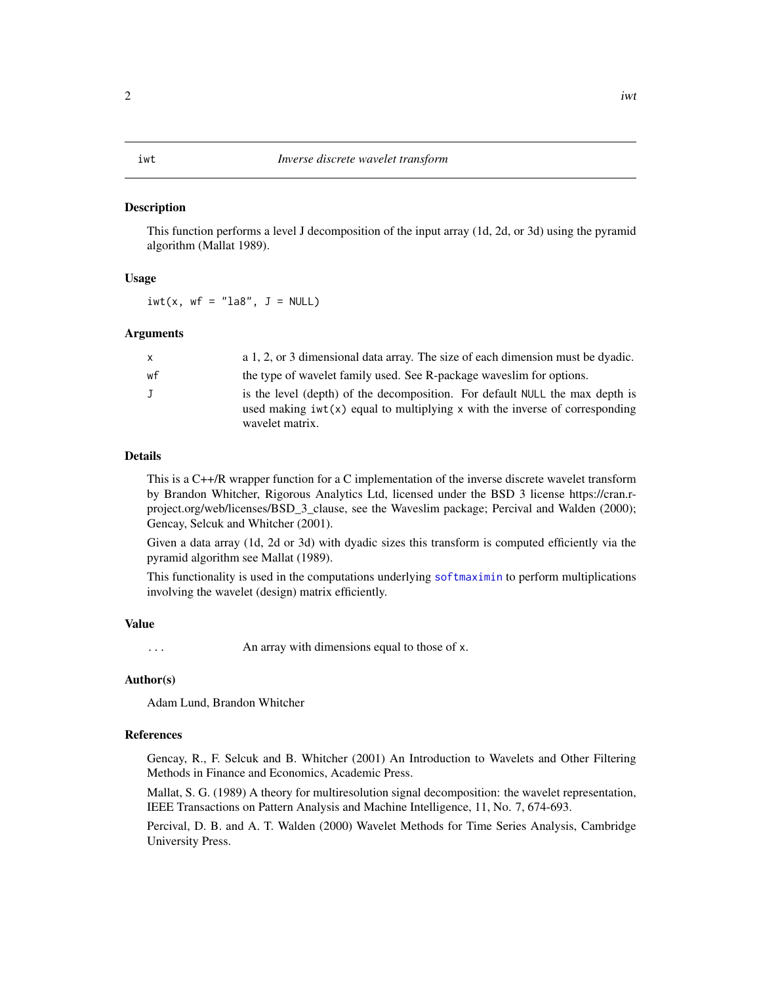#### <span id="page-1-0"></span>**Description**

This function performs a level J decomposition of the input array (1d, 2d, or 3d) using the pyramid algorithm (Mallat 1989).

#### Usage

 $iwt(x, wf = "la8", J = NULL)$ 

#### **Arguments**

| X  | a 1, 2, or 3 dimensional data array. The size of each dimension must be dyadic.                                                                                                  |
|----|----------------------------------------------------------------------------------------------------------------------------------------------------------------------------------|
| wf | the type of wavelet family used. See R-package waves lim for options.                                                                                                            |
| J  | is the level (depth) of the decomposition. For default NULL the max depth is<br>used making $ivt(x)$ equal to multiplying x with the inverse of corresponding<br>wavelet matrix. |

#### Details

This is a C++/R wrapper function for a C implementation of the inverse discrete wavelet transform by Brandon Whitcher, Rigorous Analytics Ltd, licensed under the BSD 3 license https://cran.rproject.org/web/licenses/BSD\_3\_clause, see the Waveslim package; Percival and Walden (2000); Gencay, Selcuk and Whitcher (2001).

Given a data array (1d, 2d or 3d) with dyadic sizes this transform is computed efficiently via the pyramid algorithm see Mallat (1989).

This functionality is used in the computations underlying [softmaximin](#page-5-1) to perform multiplications involving the wavelet (design) matrix efficiently.

#### Value

... An array with dimensions equal to those of x.

#### Author(s)

Adam Lund, Brandon Whitcher

#### References

Gencay, R., F. Selcuk and B. Whitcher (2001) An Introduction to Wavelets and Other Filtering Methods in Finance and Economics, Academic Press.

Mallat, S. G. (1989) A theory for multiresolution signal decomposition: the wavelet representation, IEEE Transactions on Pattern Analysis and Machine Intelligence, 11, No. 7, 674-693.

Percival, D. B. and A. T. Walden (2000) Wavelet Methods for Time Series Analysis, Cambridge University Press.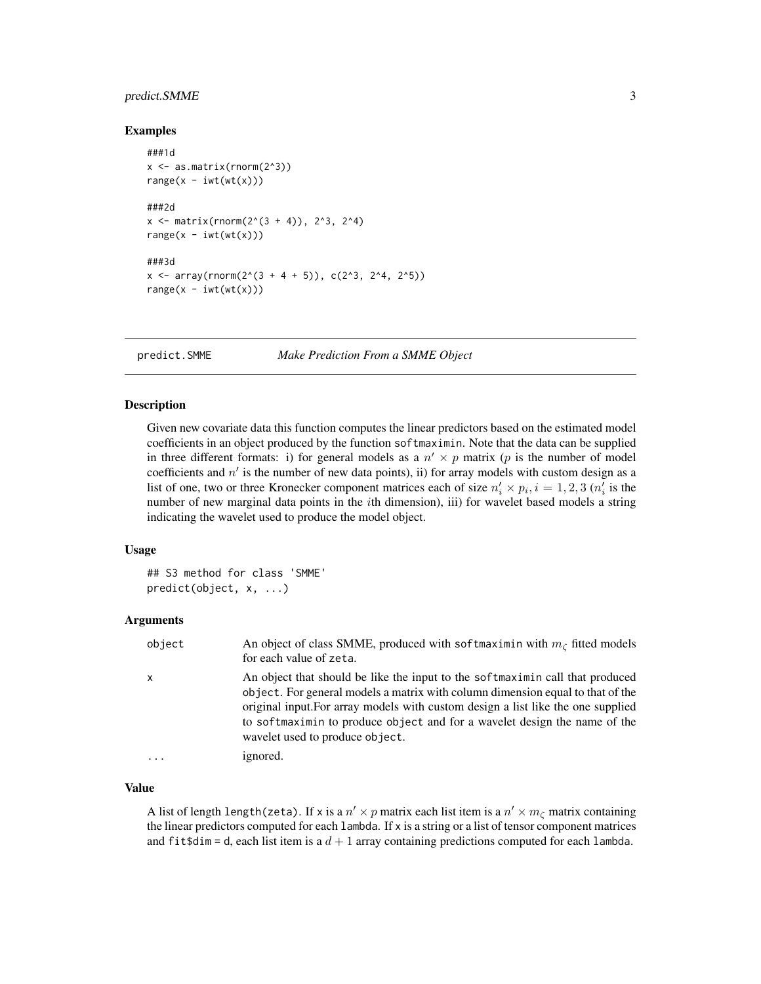#### <span id="page-2-0"></span>predict.SMME 3

#### Examples

```
###1d
x \leftarrow as_matrix(rnorm(2^3))range(x - iwt(wt(x)))###2d
x \le - matrix(rnorm(2^(3 + 4)), 2^3, 2^4)
range(x - iwt(wt(x)))###3d
x \le -\arctan(2\arctan(2^(3 + 4 + 5)), \, c(2^3, 2^4, 2^5))range(x - iwt(wt(x)))
```
predict.SMME *Make Prediction From a SMME Object*

#### **Description**

Given new covariate data this function computes the linear predictors based on the estimated model coefficients in an object produced by the function softmaximin. Note that the data can be supplied in three different formats: i) for general models as a  $n' \times p$  matrix (p is the number of model coefficients and  $n'$  is the number of new data points), ii) for array models with custom design as a list of one, two or three Kronecker component matrices each of size  $n'_i \times p_i$ ,  $i = 1, 2, 3$  ( $n'_i$  is the number of new marginal data points in the ith dimension), iii) for wavelet based models a string indicating the wavelet used to produce the model object.

#### Usage

```
## S3 method for class 'SMME'
predict(object, x, ...)
```
#### Arguments

| object       | An object of class SMME, produced with softmaximin with $m_c$ fitted models<br>for each value of zeta.                                                                                                                                                                                                                                                              |
|--------------|---------------------------------------------------------------------------------------------------------------------------------------------------------------------------------------------------------------------------------------------------------------------------------------------------------------------------------------------------------------------|
| $\mathsf{x}$ | An object that should be like the input to the softmaximin call that produced<br>object. For general models a matrix with column dimension equal to that of the<br>original input. For array models with custom design a list like the one supplied<br>to softmaximin to produce object and for a wavelet design the name of the<br>wavelet used to produce object. |
|              | ignored.                                                                                                                                                                                                                                                                                                                                                            |

#### Value

A list of length length(zeta). If x is a  $n' \times p$  matrix each list item is a  $n' \times m_\zeta$  matrix containing the linear predictors computed for each lambda. If x is a string or a list of tensor component matrices and fit \$dim = d, each list item is a  $d + 1$  array containing predictions computed for each lambda.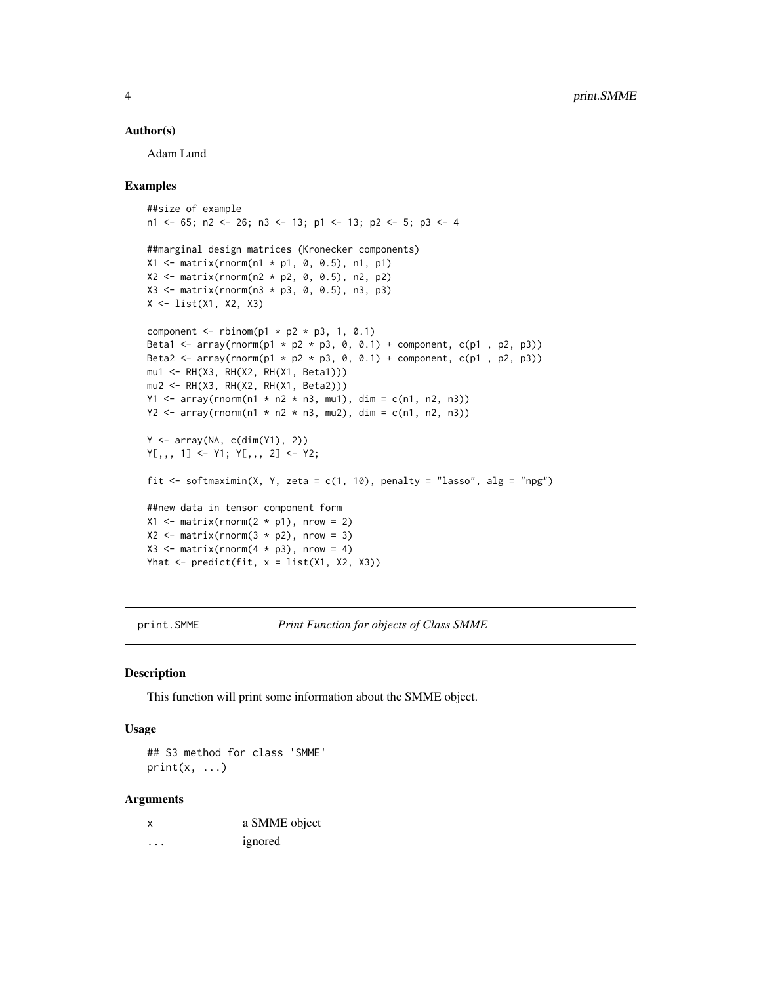#### <span id="page-3-0"></span>Author(s)

Adam Lund

#### Examples

```
##size of example
n1 <- 65; n2 <- 26; n3 <- 13; p1 <- 13; p2 <- 5; p3 <- 4
##marginal design matrices (Kronecker components)
X1 <- matrix(rnorm(n1 * p1, 0, 0.5), n1, p1)
X2 \le - matrix(rnorm(n2 * p2, 0, 0.5), n2, p2)
X3 <- matrix(rnorm(n3 * p3, 0, 0.5), n3, p3)
X <- list(X1, X2, X3)
component \le rbinom(p1 \ne p2 \ne p3, 1, 0.1)
Beta1 <- array(rnorm(p1 * p2 * p3, 0, 0.1) + component, c(p1, p2, p3))
Beta2 <- array(rnorm(p1 * p2 * p3, 0, 0.1) + component, c(p1, p2, p3))
mu1 <- RH(X3, RH(X2, RH(X1, Beta1)))
mu2 <- RH(X3, RH(X2, RH(X1, Beta2)))
Y1 <- array(rnorm(n1 * n2 * n3, mu1), dim = c(n1, n2, n3))Y2 <- array(rnorm(n1 * n2 * n3, mu2), dim = c(n1, n2, n3))Y <- array(NA, c(dim(Y1), 2))
Y[,, 1] <- Y1; Y[, , 2] <- Y2;
fit \le softmaximin(X, Y, zeta = c(1, 10), penalty = "lasso", alg = "npg")
##new data in tensor component form
X1 \leq matrix(rnorm(2 * p1), nrow = 2)
X2 \le - matrix(rnorm(3 * p2), nrow = 3)
X3 \le - matrix(rnorm(4 * p3), nrow = 4)
Yhat \leq predict(fit, x = list(X1, X2, X3))
```
print.SMME *Print Function for objects of Class SMME*

#### Description

This function will print some information about the SMME object.

#### Usage

## S3 method for class 'SMME'  $print(x, \ldots)$ 

#### **Arguments**

| x | a SMME object |
|---|---------------|
| . | ignored       |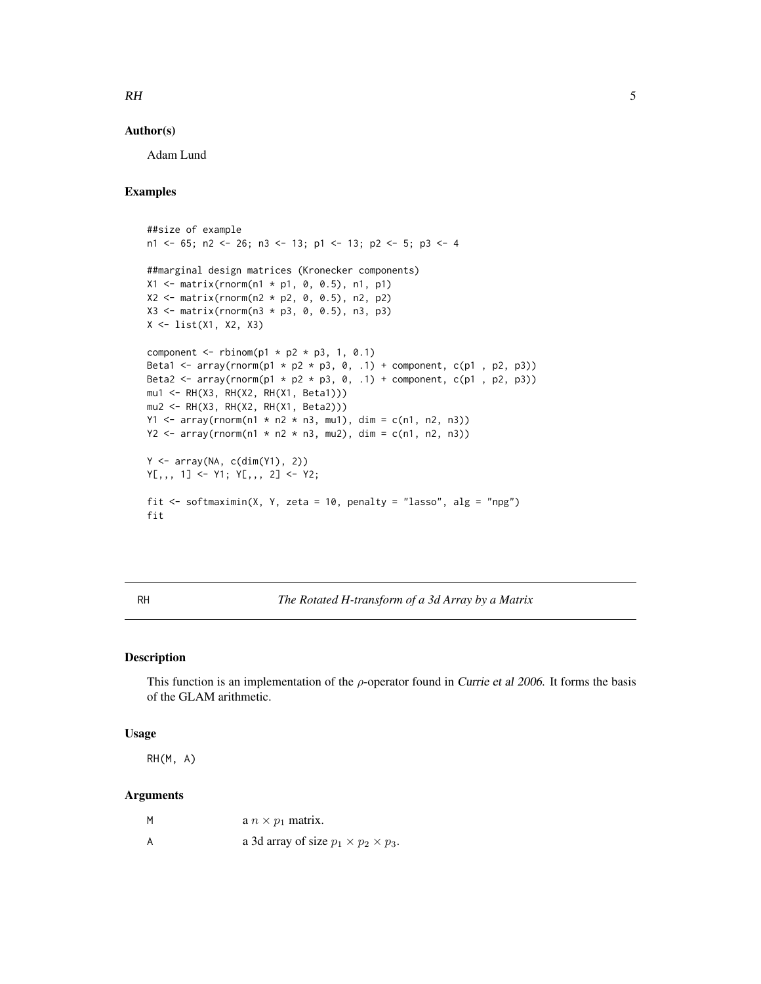## <span id="page-4-0"></span>RH 5

#### Author(s)

Adam Lund

### Examples

```
##size of example
n1 <- 65; n2 <- 26; n3 <- 13; p1 <- 13; p2 <- 5; p3 <- 4
##marginal design matrices (Kronecker components)
X1 <- matrix(rnorm(n1 * p1, 0, 0.5), n1, p1)
X2 \le - matrix(rnorm(n2 * p2, 0, 0.5), n2, p2)
X3 \leq matrix(rnorm(n3 * p3, 0, 0.5), n3, p3)
X <- list(X1, X2, X3)
component \le rbinom(p1 \ne p2 \ne p3, 1, 0.1)
Beta1 <- array(rnorm(p1 * p2 * p3, 0, .1) + component, c(p1 , p2, p3))
Beta2 <- array(rnorm(p1 * p2 * p3, 0, .1) + component, c(p1 , p2, p3))
mu1 <- RH(X3, RH(X2, RH(X1, Beta1)))
mu2 <- RH(X3, RH(X2, RH(X1, Beta2)))
Y1 <- array(rnorm(n1 * n2 * n3, mu1), dim = c(n1, n2, n3))
Y2 <- array(rnorm(n1 * n2 * n3, mu2), dim = c(n1, n2, n3))Y <- array(NA, c(dim(Y1), 2))
Y[,, 1] <- Y1; Y[, , 2] <- Y2;
fit \le softmaximin(X, Y, zeta = 10, penalty = "lasso", alg = "npg")
fit
```
<span id="page-4-1"></span>RH *The Rotated H-transform of a 3d Array by a Matrix*

#### Description

This function is an implementation of the  $\rho$ -operator found in Currie et al 2006. It forms the basis of the GLAM arithmetic.

#### Usage

RH(M, A)

#### Arguments

| M | a $n \times p_1$ matrix.                         |
|---|--------------------------------------------------|
| A | a 3d array of size $p_1 \times p_2 \times p_3$ . |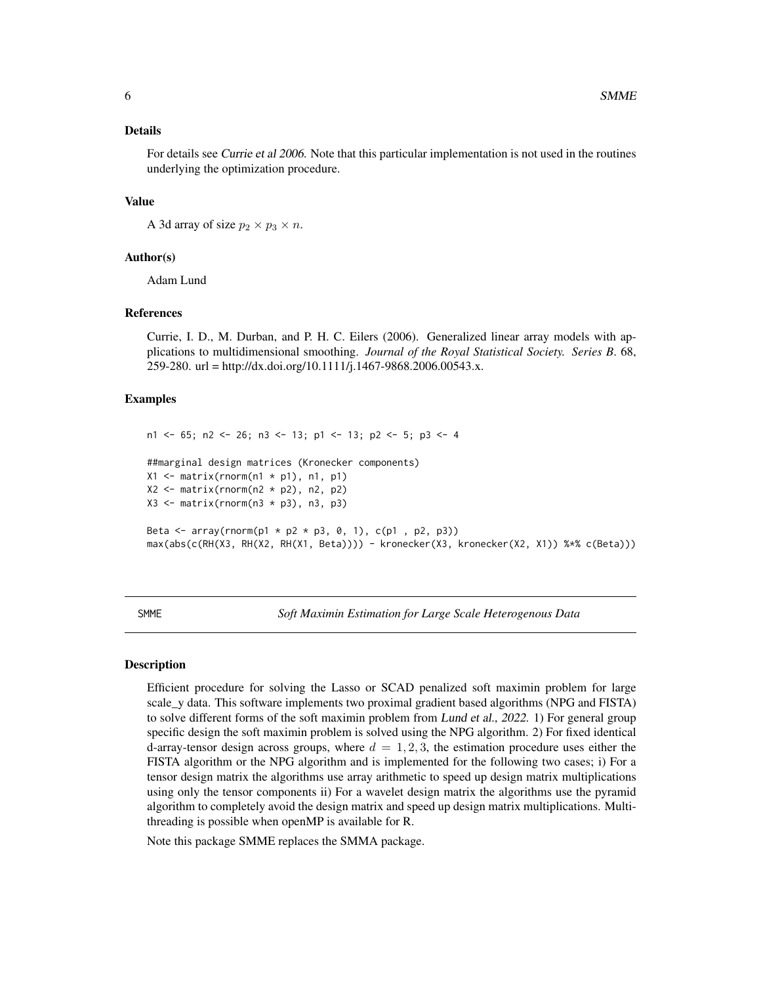#### <span id="page-5-0"></span>Details

For details see Currie et al 2006. Note that this particular implementation is not used in the routines underlying the optimization procedure.

#### Value

A 3d array of size  $p_2 \times p_3 \times n$ .

#### Author(s)

Adam Lund

#### References

Currie, I. D., M. Durban, and P. H. C. Eilers (2006). Generalized linear array models with applications to multidimensional smoothing. *Journal of the Royal Statistical Society. Series B*. 68, 259-280. url = http://dx.doi.org/10.1111/j.1467-9868.2006.00543.x.

#### Examples

```
n1 <- 65; n2 <- 26; n3 <- 13; p1 <- 13; p2 <- 5; p3 <- 4
##marginal design matrices (Kronecker components)
X1 \leq - matrix(rnorm(n1 * p1), n1, p1)
X2 \leq - matrix(rnorm(n2 * p2), n2, p2)
X3 \leftarrow matrix(rnorm(n3 * p3), n3, p3)Beta <- array(rnorm(p1 * p2 * p3, 0, 1), c(p1 , p2, p3))
max(abs(c(RH(X3, RH(X2, RH(X1, Beta)))) - kronecker(X3, kronecker(X2, X1)) %*% c(Beta)))
```
SMME *Soft Maximin Estimation for Large Scale Heterogenous Data*

#### <span id="page-5-1"></span>Description

Efficient procedure for solving the Lasso or SCAD penalized soft maximin problem for large scale\_y data. This software implements two proximal gradient based algorithms (NPG and FISTA) to solve different forms of the soft maximin problem from Lund et al., 2022. 1) For general group specific design the soft maximin problem is solved using the NPG algorithm. 2) For fixed identical d-array-tensor design across groups, where  $d = 1, 2, 3$ , the estimation procedure uses either the FISTA algorithm or the NPG algorithm and is implemented for the following two cases; i) For a tensor design matrix the algorithms use array arithmetic to speed up design matrix multiplications using only the tensor components ii) For a wavelet design matrix the algorithms use the pyramid algorithm to completely avoid the design matrix and speed up design matrix multiplications. Multithreading is possible when openMP is available for R.

Note this package SMME replaces the SMMA package.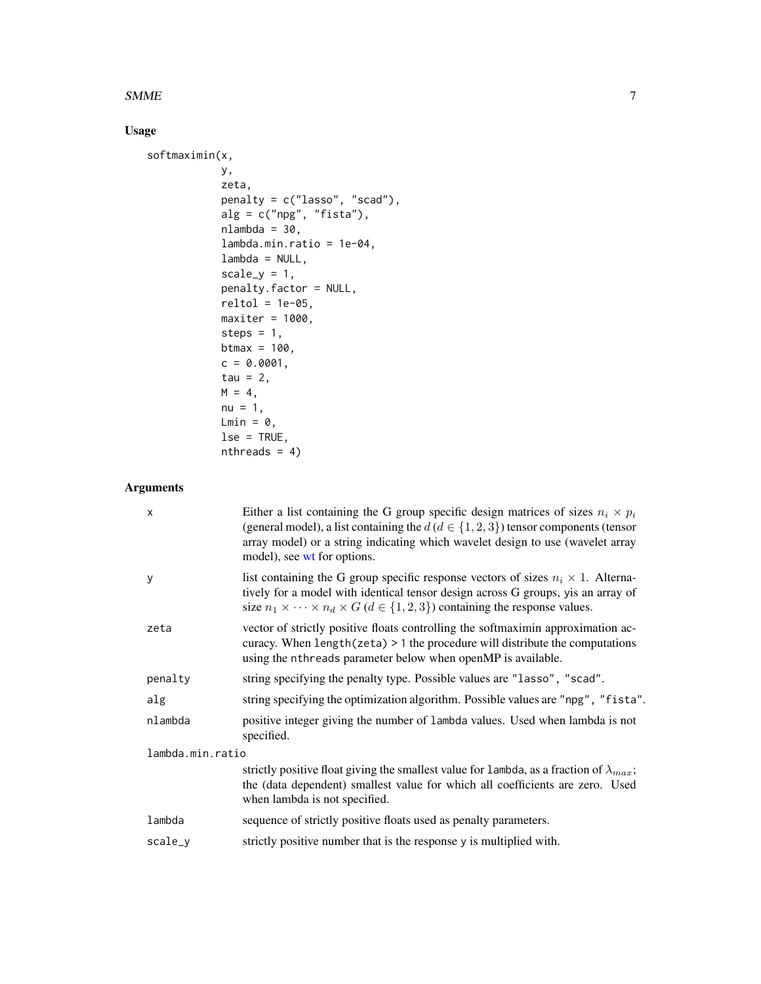#### <span id="page-6-0"></span> $SMME$  7

### Usage

```
softmaximin(x,
            y,
            zeta,
            penalty = c("lasso", "scad"),
            alg = c("npg", "fista"),
            nlambda = 30,
            lambda.min.ratio = 1e-04,
            lambda = NULL,scale_y = 1,
            penalty.factor = NULL,
            reltol = 1e-05,maxiter = 1000,
            steps = 1,
            btmax = 100,
            c = 0.0001,tau = 2,
            M = 4,nu = 1,
            Lmin = 0,
            lse = TRUE,
            nthreads = 4)
```
### Arguments

| X                | Either a list containing the G group specific design matrices of sizes $n_i \times p_i$<br>(general model), a list containing the $d (d \in \{1, 2, 3\})$ tensor components (tensor<br>array model) or a string indicating which wavelet design to use (wavelet array<br>model), see wt for options. |
|------------------|------------------------------------------------------------------------------------------------------------------------------------------------------------------------------------------------------------------------------------------------------------------------------------------------------|
| У                | list containing the G group specific response vectors of sizes $n_i \times 1$ . Alterna-<br>tively for a model with identical tensor design across G groups, yis an array of<br>size $n_1 \times \cdots \times n_d \times G$ ( $d \in \{1, 2, 3\}$ ) containing the response values.                 |
| zeta             | vector of strictly positive floats controlling the softmaximin approximation ac-<br>curacy. When $length(zeta) > 1$ the procedure will distribute the computations<br>using the nthreads parameter below when openMP is available.                                                                   |
| penalty          | string specifying the penalty type. Possible values are "lasso", "scad".                                                                                                                                                                                                                             |
| alg              | string specifying the optimization algorithm. Possible values are "npg", "fista".                                                                                                                                                                                                                    |
| nlambda          | positive integer giving the number of lambda values. Used when lambda is not<br>specified.                                                                                                                                                                                                           |
| lambda.min.ratio |                                                                                                                                                                                                                                                                                                      |
|                  | strictly positive float giving the smallest value for lambda, as a fraction of $\lambda_{max}$ ;<br>the (data dependent) smallest value for which all coefficients are zero. Used<br>when lambda is not specified.                                                                                   |
| lambda           | sequence of strictly positive floats used as penalty parameters.                                                                                                                                                                                                                                     |
| scale_y          | strictly positive number that is the response y is multiplied with.                                                                                                                                                                                                                                  |
|                  |                                                                                                                                                                                                                                                                                                      |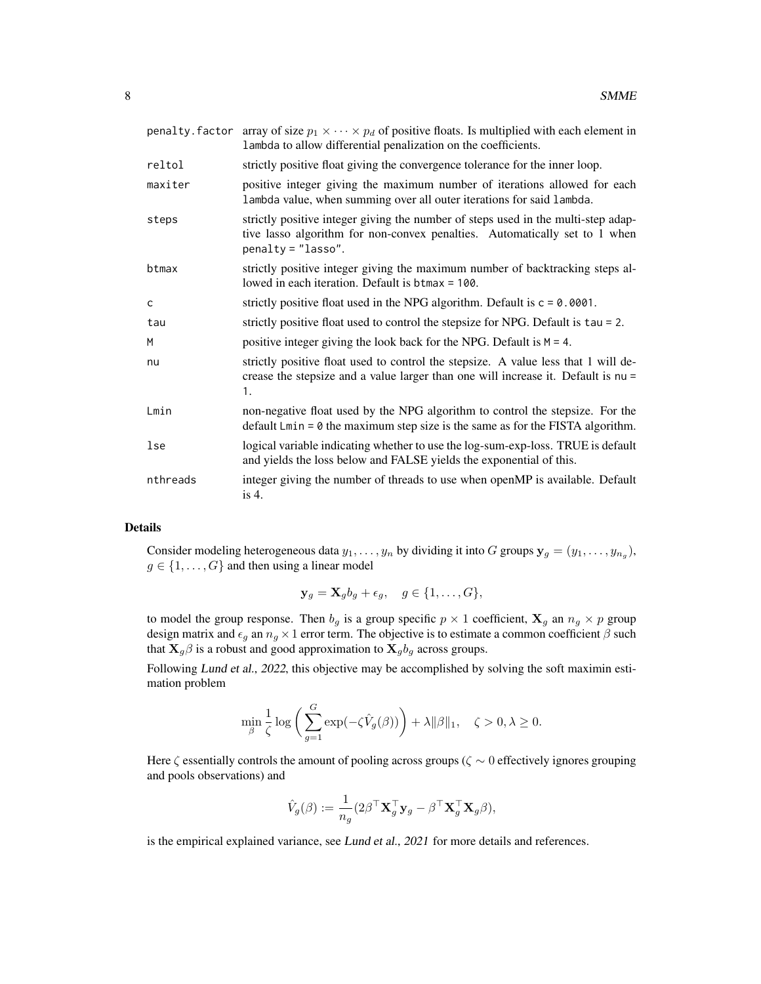|          | penalty. factor array of size $p_1 \times \cdots \times p_d$ of positive floats. Is multiplied with each element in<br>lambda to allow differential penalization on the coefficients.   |
|----------|-----------------------------------------------------------------------------------------------------------------------------------------------------------------------------------------|
| reltol   | strictly positive float giving the convergence tolerance for the inner loop.                                                                                                            |
| maxiter  | positive integer giving the maximum number of iterations allowed for each<br>lambda value, when summing over all outer iterations for said lambda.                                      |
| steps    | strictly positive integer giving the number of steps used in the multi-step adap-<br>tive lasso algorithm for non-convex penalties. Automatically set to 1 when<br>$penalty = "lasso".$ |
| btmax    | strictly positive integer giving the maximum number of backtracking steps al-<br>lowed in each iteration. Default is btmax = 100.                                                       |
| C        | strictly positive float used in the NPG algorithm. Default is $c = 0.0001$ .                                                                                                            |
| tau      | strictly positive float used to control the stepsize for NPG. Default is $tau = 2$ .                                                                                                    |
| M        | positive integer giving the look back for the NPG. Default is $M = 4$ .                                                                                                                 |
| nu       | strictly positive float used to control the stepsize. A value less that 1 will de-<br>crease the stepsize and a value larger than one will increase it. Default is nu =<br>1.           |
| Lmin     | non-negative float used by the NPG algorithm to control the stepsize. For the<br>default $Lmin = 0$ the maximum step size is the same as for the FISTA algorithm.                       |
| lse      | logical variable indicating whether to use the log-sum-exp-loss. TRUE is default<br>and yields the loss below and FALSE yields the exponential of this.                                 |
| nthreads | integer giving the number of threads to use when openMP is available. Default<br>is $4$ .                                                                                               |

#### Details

Consider modeling heterogeneous data  $y_1, \ldots, y_n$  by dividing it into G groups  $\mathbf{y}_g = (y_1, \ldots, y_{n_g}),$  $g \in \{1, \ldots, G\}$  and then using a linear model

$$
\mathbf{y}_g = \mathbf{X}_g b_g + \epsilon_g, \quad g \in \{1, \dots, G\},\
$$

to model the group response. Then  $b_g$  is a group specific  $p \times 1$  coefficient,  $\mathbf{X}_g$  an  $n_g \times p$  group design matrix and  $\epsilon_g$  an  $n_g \times 1$  error term. The objective is to estimate a common coefficient  $\beta$  such that  $\mathbf{X}_g\beta$  is a robust and good approximation to  $\mathbf{X}_g b_g$  across groups.

Following Lund et al., 2022, this objective may be accomplished by solving the soft maximin estimation problem

$$
\min_{\boldsymbol{\beta}} \frac{1}{\zeta} \log \bigg( \sum_{g=1}^G \exp(-\zeta \hat{V}_g(\boldsymbol{\beta})) \bigg) + \lambda \|\boldsymbol{\beta}\|_1, \quad \zeta > 0, \lambda \geq 0.
$$

Here  $\zeta$  essentially controls the amount of pooling across groups ( $\zeta \sim 0$  effectively ignores grouping and pools observations) and

$$
\hat{V}_g(\boldsymbol{\beta}):=\frac{1}{n_g}(2\boldsymbol{\beta}^\top\mathbf{X}_g^\top\mathbf{y}_g-\boldsymbol{\beta}^\top\mathbf{X}_g^\top\mathbf{X}_g\boldsymbol{\beta}),
$$

is the empirical explained variance, see Lund et al., 2021 for more details and references.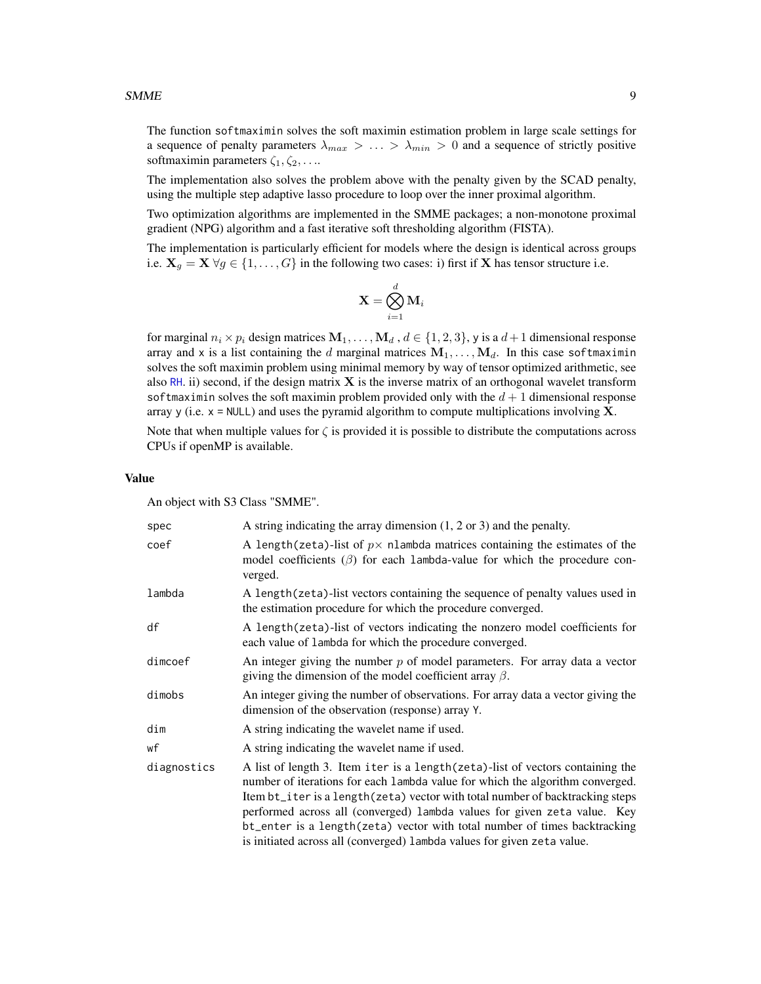<span id="page-8-0"></span>The function softmaximin solves the soft maximin estimation problem in large scale settings for a sequence of penalty parameters  $\lambda_{max} > ... > \lambda_{min} > 0$  and a sequence of strictly positive softmaximin parameters  $\zeta_1, \zeta_2, \ldots$ 

The implementation also solves the problem above with the penalty given by the SCAD penalty, using the multiple step adaptive lasso procedure to loop over the inner proximal algorithm.

Two optimization algorithms are implemented in the SMME packages; a non-monotone proximal gradient (NPG) algorithm and a fast iterative soft thresholding algorithm (FISTA).

The implementation is particularly efficient for models where the design is identical across groups i.e.  $X_g = X \,\forall g \in \{1, ..., G\}$  in the following two cases: i) first if X has tensor structure i.e.

$$
\mathbf{X} = \bigotimes_{i=1}^d \mathbf{M}_i
$$

for marginal  $n_i \times p_i$  design matrices  $M_1, \ldots, M_d$  ,  $d \in \{1, 2, 3\}$ , y is a  $d+1$  dimensional response array and x is a list containing the d marginal matrices  $M_1, \ldots, M_d$ . In this case softmaximin solves the soft maximin problem using minimal memory by way of tensor optimized arithmetic, see also [RH](#page-4-1). ii) second, if the design matrix  $X$  is the inverse matrix of an orthogonal wavelet transform softmaximin solves the soft maximin problem provided only with the  $d+1$  dimensional response array y (i.e.  $x = \text{NULL}$ ) and uses the pyramid algorithm to compute multiplications involving **X**.

Note that when multiple values for  $\zeta$  is provided it is possible to distribute the computations across CPUs if openMP is available.

#### Value

An object with S3 Class "SMME".

| spec        | A string indicating the array dimension $(1, 2 \text{ or } 3)$ and the penalty.                                                                                                                                                                                                                                                                                                                                                                                                       |
|-------------|---------------------------------------------------------------------------------------------------------------------------------------------------------------------------------------------------------------------------------------------------------------------------------------------------------------------------------------------------------------------------------------------------------------------------------------------------------------------------------------|
| coef        | A length (zeta)-list of $p \times$ nlambda matrices containing the estimates of the<br>model coefficients $(\beta)$ for each lambda-value for which the procedure con-<br>verged.                                                                                                                                                                                                                                                                                                     |
| lambda      | A length (zeta)-list vectors containing the sequence of penalty values used in<br>the estimation procedure for which the procedure converged.                                                                                                                                                                                                                                                                                                                                         |
| df          | A length(zeta)-list of vectors indicating the nonzero model coefficients for<br>each value of lambda for which the procedure converged.                                                                                                                                                                                                                                                                                                                                               |
| dimcoef     | An integer giving the number $p$ of model parameters. For array data a vector<br>giving the dimension of the model coefficient array $\beta$ .                                                                                                                                                                                                                                                                                                                                        |
| dimobs      | An integer giving the number of observations. For array data a vector giving the<br>dimension of the observation (response) array Y.                                                                                                                                                                                                                                                                                                                                                  |
| dim         | A string indicating the wavelet name if used.                                                                                                                                                                                                                                                                                                                                                                                                                                         |
| wf          | A string indicating the wavelet name if used.                                                                                                                                                                                                                                                                                                                                                                                                                                         |
| diagnostics | A list of length 3. Item iter is a length (zeta)-list of vectors containing the<br>number of iterations for each lambda value for which the algorithm converged.<br>Item bt_iter is a length(zeta) vector with total number of backtracking steps<br>performed across all (converged) lambda values for given zeta value. Key<br>bt_enter is a length(zeta) vector with total number of times backtracking<br>is initiated across all (converged) lambda values for given zeta value. |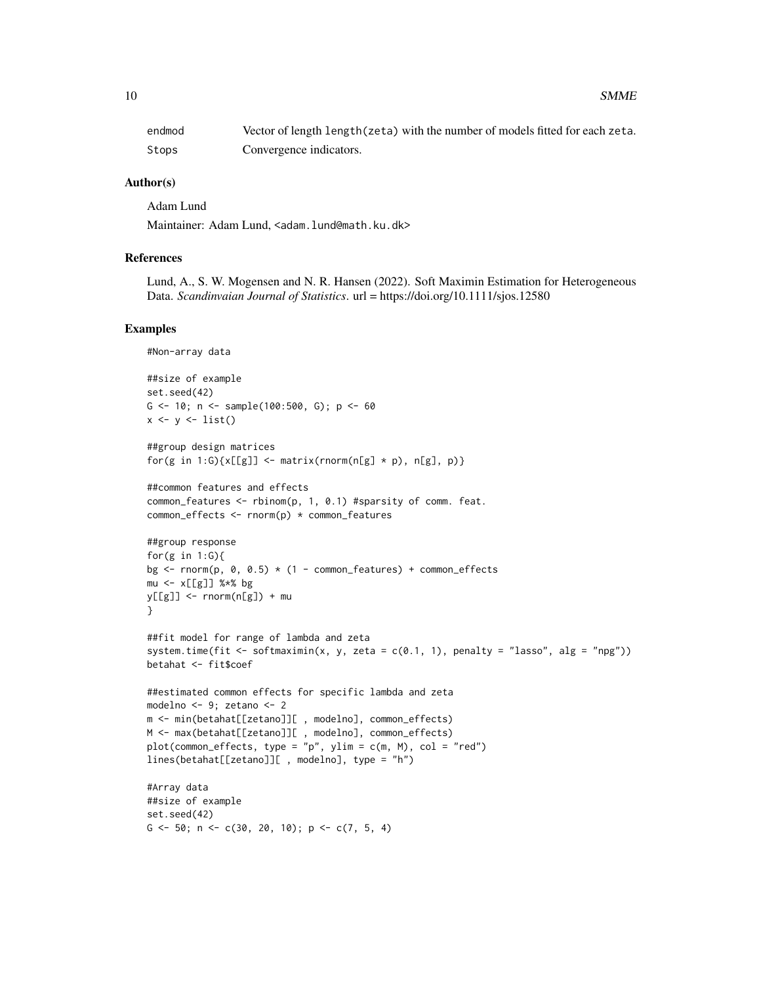| endmod | Vector of length length (zeta) with the number of models fitted for each zeta. |
|--------|--------------------------------------------------------------------------------|
| Stops  | Convergence indicators.                                                        |

#### Author(s)

Adam Lund

Maintainer: Adam Lund, <adam.lund@math.ku.dk>

#### References

Lund, A., S. W. Mogensen and N. R. Hansen (2022). Soft Maximin Estimation for Heterogeneous Data. *Scandinvaian Journal of Statistics*. url = https://doi.org/10.1111/sjos.12580

#### Examples

```
#Non-array data
##size of example
set.seed(42)
G <-10; n <- sample(100:500, G); p <-60x \leftarrow y \leftarrow list()##group design matrices
for(g in 1:G)\{x[[g]] \leftarrow matrix(rnorm(n[g] \times p), n[g], p)\}##common features and effects
common_features <- rbinom(p, 1, 0.1) #sparsity of comm. feat.
common_effects <- rnorm(p) * common_features
##group response
for(g in 1:G){
bg \le rnorm(p, 0, 0.5) \star (1 - common_features) + common_effects
mu <- x[[g]] %*% bg
y[[g]] \leftarrow \text{norm}(n[g]) + mu}
##fit model for range of lambda and zeta
system.time(fit <- softmaximin(x, y, zeta = c(0.1, 1), penalty = "lasso", alg = "npg"))
betahat <- fit$coef
##estimated common effects for specific lambda and zeta
modelno <- 9; zetano <- 2
m <- min(betahat[[zetano]][ , modelno], common_effects)
M <- max(betahat[[zetano]][ , modelno], common_effects)
plot(common_effects, type = "p", ylim = c(m, M), col = "red")
lines(betahat[[zetano]][ , modelno], type = "h")
#Array data
##size of example
set.seed(42)
G \le -50; n \le -c(30, 20, 10); p \le -c(7, 5, 4)
```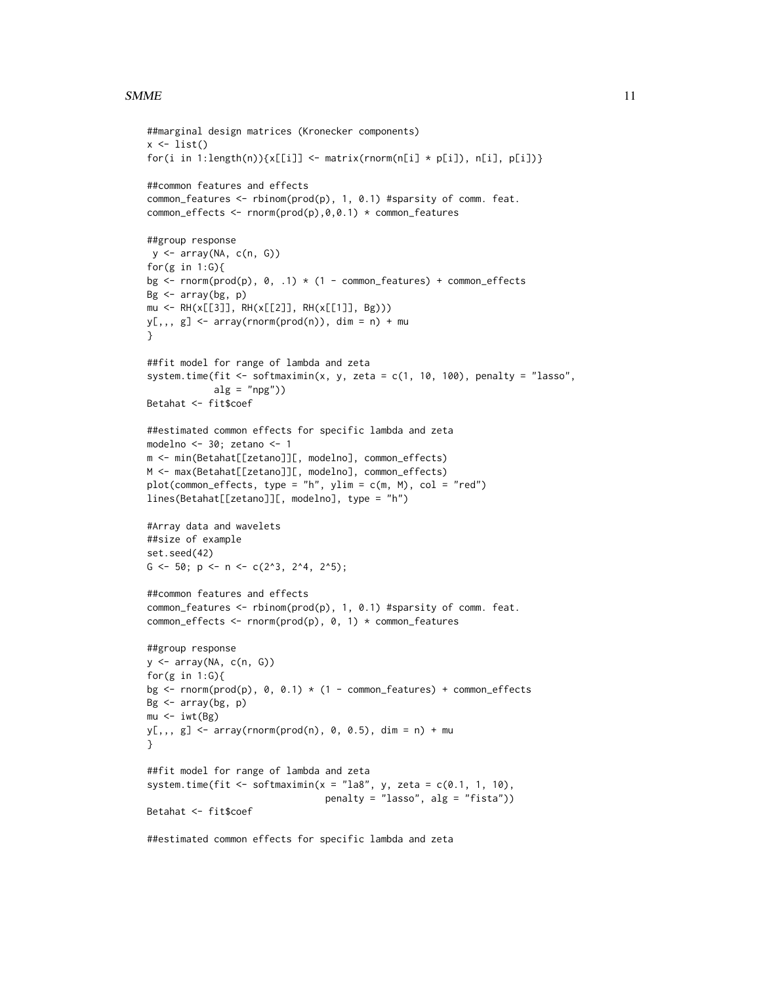#### $SMME$  11

```
##marginal design matrices (Kronecker components)
x \leftarrow list()
for(i in 1:length(n))\{x[[i]] \leftarrow matrix(rnorm(n[i] * p[i]), n[i], p[i])\}##common features and effects
common_features <- rbinom(prod(p), 1, 0.1) #sparsity of comm. feat.
common_effects <- rnorm(prod(p),0,0.1) * common_features
##group response
y <- array(NA, c(n, G))
for(g in 1:G){
bg \le rnorm(prod(p), 0, .1) \star (1 - common_features) + common_effects
Bg < -array(bg, p)mu \leftarrow RH(x[[3]], RH(x[[2]], RH(x[[1]], By)))y[,, g] <- array(rnorm(prod(n)), dim = n) + mu
}
##fit model for range of lambda and zeta
system.time(fit <- softmaximin(x, y, zeta = c(1, 10, 100), penalty = "lasso",
            alg = "npg")Betahat <- fit$coef
##estimated common effects for specific lambda and zeta
modelno <- 30; zetano <- 1
m <- min(Betahat[[zetano]][, modelno], common_effects)
M <- max(Betahat[[zetano]][, modelno], common_effects)
plot(common_effects, type = "h", ylim = c(m, M), col = "red")
lines(Betahat[[zetano]][, modelno], type = "h")
#Array data and wavelets
##size of example
set.seed(42)
G <- 50; p <- n <- c(2^3, 2^4, 2^5);
##common features and effects
common_features <- rbinom(prod(p), 1, 0.1) #sparsity of comm. feat.
common_effects <- rnorm(prod(p), 0, 1) * common_features
##group response
y <- array(NA, c(n, G))
for(g in 1:G){
bg \le rnorm(prod(p), 0, 0.1) \star (1 - common_features) + common_effects
Bg \leq array(bg, p)
mu < -iwt(Bg)y[,, g] \leq \arctan(\text{prod}(n), 0, 0.5), \text{dim} = n) + \text{mu}}
##fit model for range of lambda and zeta
system.time(fit <- softmaximin(x = "la8", y, zeta = c(0.1, 1, 10),
                                 penalty = "lasso", alg = "fista"))
Betahat <- fit$coef
##estimated common effects for specific lambda and zeta
```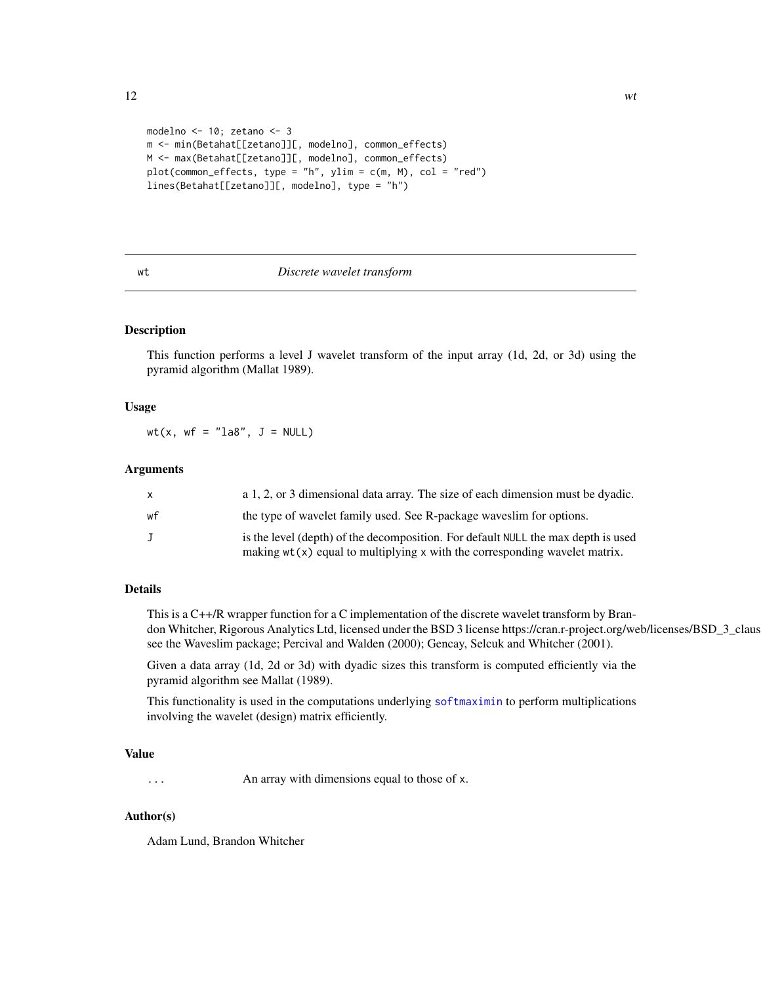```
modelno <- 10; zetano <- 3
m <- min(Betahat[[zetano]][, modelno], common_effects)
M <- max(Betahat[[zetano]][, modelno], common_effects)
plot(common_effects, type = "h", ylim = c(m, M), col = "red")
lines(Betahat[[zetano]][, modelno], type = "h")
```
#### <span id="page-11-1"></span>wt *Discrete wavelet transform*

#### Description

This function performs a level J wavelet transform of the input array (1d, 2d, or 3d) using the pyramid algorithm (Mallat 1989).

#### Usage

wt(x,  $wf = "la8", J = NULL)$ 

#### Arguments

|    | a 1, 2, or 3 dimensional data array. The size of each dimension must be dyadic.   |
|----|-----------------------------------------------------------------------------------|
| wf | the type of wavelet family used. See R-package waves lim for options.             |
|    | is the level (depth) of the decomposition. For default NULL the max depth is used |
|    | making $wt(x)$ equal to multiplying $x$ with the corresponding wavelet matrix.    |

#### Details

This is a C++/R wrapper function for a C implementation of the discrete wavelet transform by Brandon Whitcher, Rigorous Analytics Ltd, licensed under the BSD 3 license https://cran.r-project.org/web/licenses/BSD\_3\_claus see the Waveslim package; Percival and Walden (2000); Gencay, Selcuk and Whitcher (2001).

Given a data array (1d, 2d or 3d) with dyadic sizes this transform is computed efficiently via the pyramid algorithm see Mallat (1989).

This functionality is used in the computations underlying [softmaximin](#page-5-1) to perform multiplications involving the wavelet (design) matrix efficiently.

#### Value

... An array with dimensions equal to those of x.

#### Author(s)

Adam Lund, Brandon Whitcher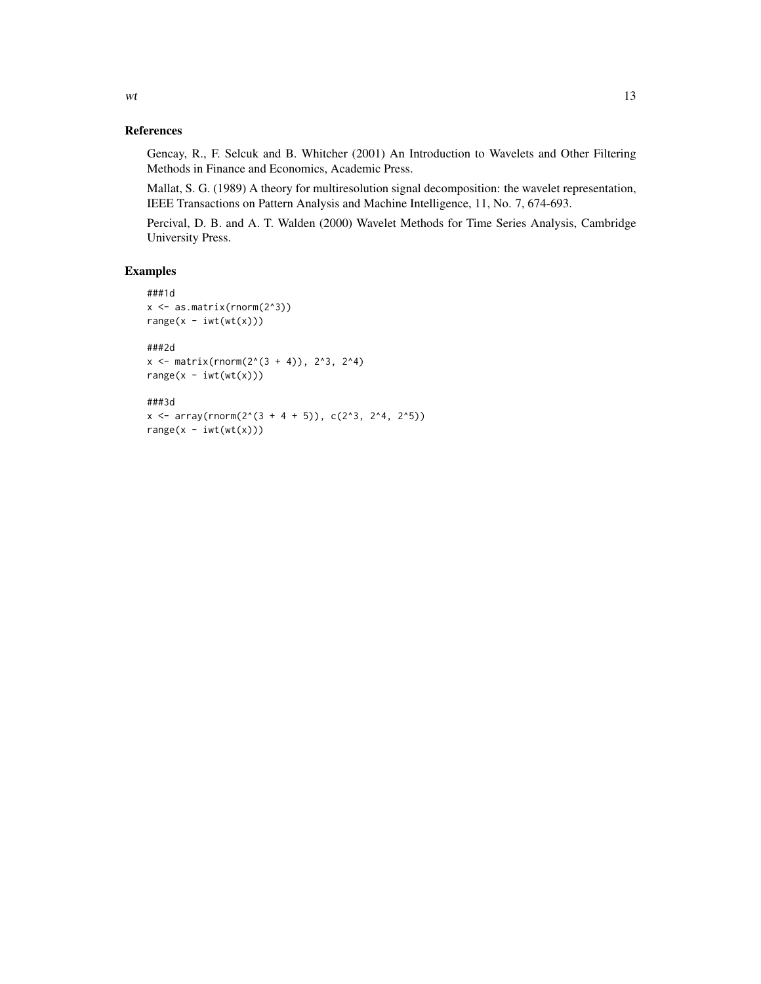#### References

Gencay, R., F. Selcuk and B. Whitcher (2001) An Introduction to Wavelets and Other Filtering Methods in Finance and Economics, Academic Press.

Mallat, S. G. (1989) A theory for multiresolution signal decomposition: the wavelet representation, IEEE Transactions on Pattern Analysis and Machine Intelligence, 11, No. 7, 674-693.

Percival, D. B. and A. T. Walden (2000) Wavelet Methods for Time Series Analysis, Cambridge University Press.

#### Examples

```
###1d
x <- as.matrix(rnorm(2^3))
range(x - iwt(wt(x)))###2d
x \le - matrix(rnorm(2^(3 + 4)), 2^3, 2^4)
range(x - iwt(wt(x)))###3d
```
 $x \le -\arctan(2^(3 + 4 + 5)), \ c(2^3, 2^4, 2^5))$ 

 $range(x - iwt(wt(x)))$